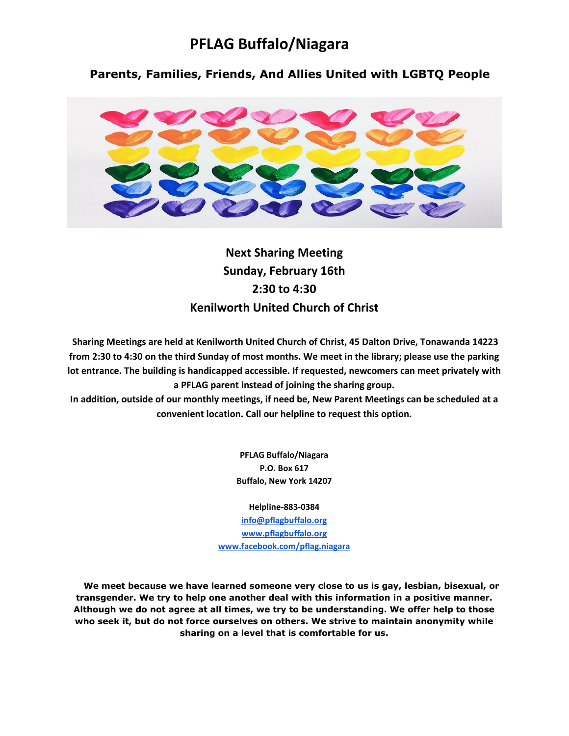# **PFLAG Buffalo/Niagara**

 **Parents, Families, Friends, And Allies United with LGBTQ People**



**Next Sharing Meeting Sunday, February 16th 2:30 to 4:30 Kenilworth United Church of Christ**

**Sharing Meetings are held at Kenilworth United Church of Christ, 45 Dalton Drive, Tonawanda 14223 from 2:30 to 4:30 on the third Sunday of most months. We meet in the library; please use the parking lot entrance. The building is handicapped accessible. If requested, newcomers can meet privately with a PFLAG parent instead of joining the sharing group.** 

**In addition, outside of our monthly meetings, if need be, New Parent Meetings can be scheduled at a convenient location. Call our helpline to request this option.** 

> **PFLAG Buffalo/Niagara P.O. Box 617 Buffalo, New York 14207**

> > **Helpline-883-0384**

**[info@pflagbuffalo.org](mailto:info@pflagbuffalo.org) [www.pflagbuffalo.org](http://www.pflagbuffalo.org/) [www.facebook.com/pflag.niagara](http://www.facebook.com/pflag.niagara)**

 **We meet because we have learned someone very close to us is gay, lesbian, bisexual, or transgender. We try to help one another deal with this information in a positive manner. Although we do not agree at all times, we try to be understanding. We offer help to those who seek it, but do not force ourselves on others. We strive to maintain anonymity while sharing on a level that is comfortable for us.**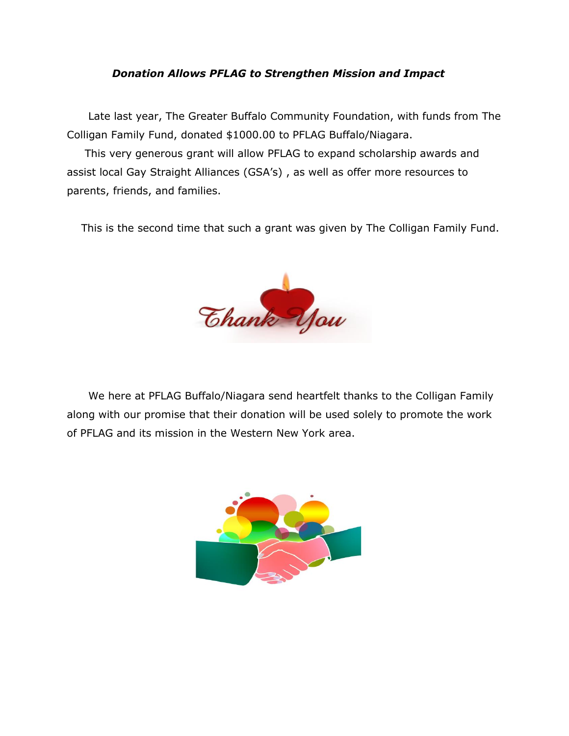## *Donation Allows PFLAG to Strengthen Mission and Impact*

 Late last year, The Greater Buffalo Community Foundation, with funds from The Colligan Family Fund, donated \$1000.00 to PFLAG Buffalo/Niagara.

 This very generous grant will allow PFLAG to expand scholarship awards and assist local Gay Straight Alliances (GSA's) , as well as offer more resources to parents, friends, and families.

This is the second time that such a grant was given by The Colligan Family Fund.



 We here at PFLAG Buffalo/Niagara send heartfelt thanks to the Colligan Family along with our promise that their donation will be used solely to promote the work of PFLAG and its mission in the Western New York area.